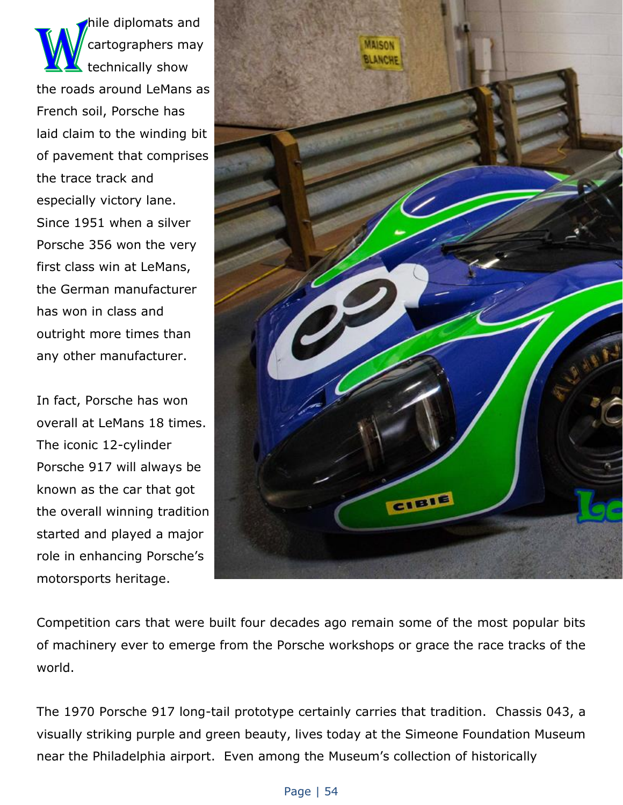hile diplomats and cartographers may technically show the roads around LeMans as French soil, Porsche has laid claim to the winding bit of pavement that comprises the trace track and especially victory lane. Since 1951 when a silver Porsche 356 won the very first class win at LeMans, the German manufacturer has won in class and outright more times than any other manufacturer.

In fact, Porsche has won overall at LeMans 18 times. The iconic 12-cylinder Porsche 917 will always be known as the car that got the overall winning tradition started and played a major role in enhancing Porsche's motorsports heritage.



Competition cars that were built four decades ago remain some of the most popular bits of machinery ever to emerge from the Porsche workshops or grace the race tracks of the world.

The 1970 Porsche 917 long-tail prototype certainly carries that tradition. Chassis 043, a visually striking purple and green beauty, lives today at the Simeone Foundation Museum near the Philadelphia airport. Even among the Museum's collection of historically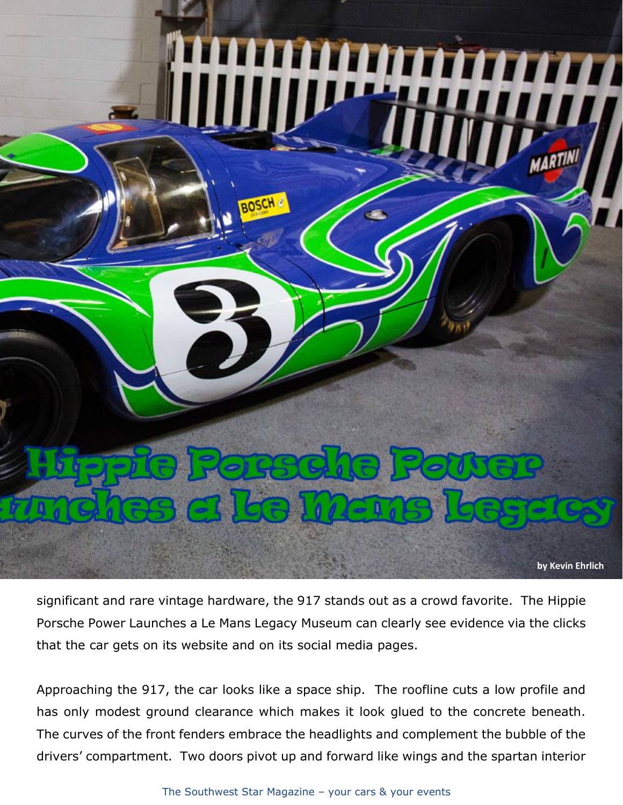

significant and rare vintage hardware, the 917 stands out as a crowd favorite. The Hippie Porsche Power Launches a Le Mans Legacy Museum can clearly see evidence via the clicks that the car gets on its website and on its social media pages.

Approaching the 917, the car looks like a space ship. The roofline cuts a low profile and has only modest ground clearance which makes it look glued to the concrete beneath. The curves of the front fenders embrace the headlights and complement the bubble of the drivers' compartment. Two doors pivot up and forward like wings and the spartan interior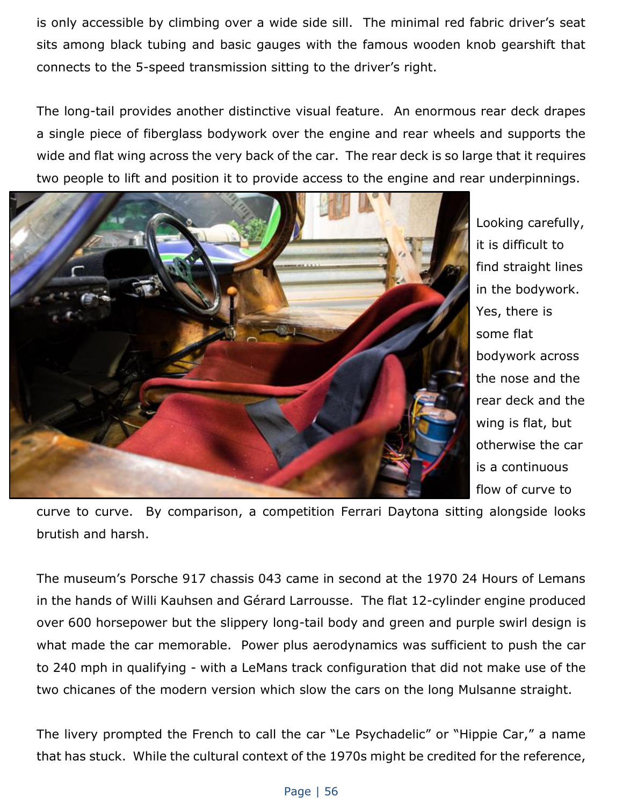is only accessible by climbing over a wide side sill. The minimal red fabric driver's seat sits among black tubing and basic gauges with the famous wooden knob gearshift that connects to the 5-speed transmission sitting to the driver's right.

The long-tail provides another distinctive visual feature. An enormous rear deck drapes a single piece of fiberglass bodywork over the engine and rear wheels and supports the wide and flat wing across the very back of the car. The rear deck is so large that it requires two people to lift and position it to provide access to the engine and rear underpinnings.



Looking carefully, it is difficult to find straight lines in the bodywork. Yes, there is some flat bodywork across the nose and the rear deck and the wing is flat, but otherwise the car is a continuous flow of curve to

curve to curve. By comparison, a competition Ferrari Daytona sitting alongside looks brutish and harsh.

The museum's Porsche 917 chassis 043 came in second at the 1970 24 Hours of Lemans in the hands of Willi Kauhsen and Gérard Larrousse. The flat 12-cylinder engine produced over 600 horsepower but the slippery long-tail body and green and purple swirl design is what made the car memorable. Power plus aerodynamics was sufficient to push the car to 240 mph in qualifying - with a LeMans track configuration that did not make use of the two chicanes of the modern version which slow the cars on the long Mulsanne straight.

The livery prompted the French to call the car "Le Psychadelic" or "Hippie Car," a name that has stuck. While the cultural context of the 1970s might be credited for the reference,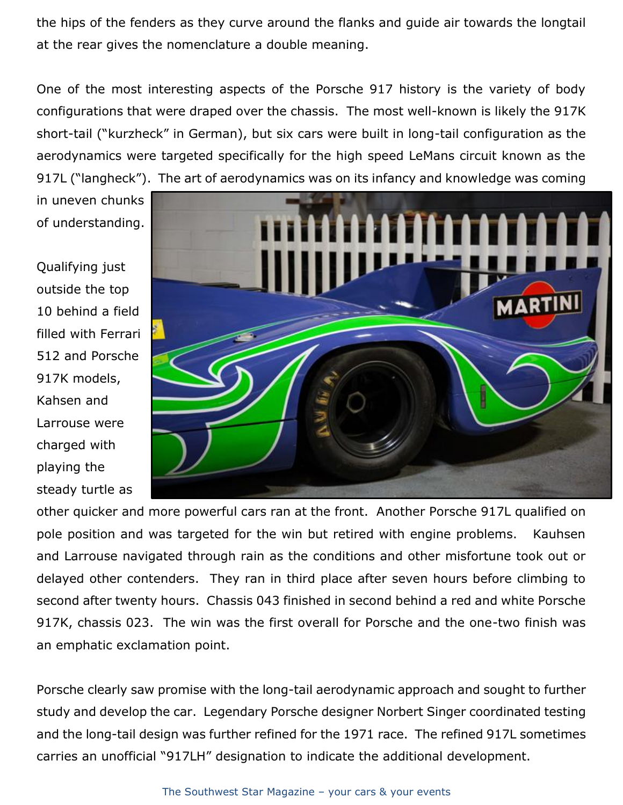the hips of the fenders as they curve around the flanks and guide air towards the longtail at the rear gives the nomenclature a double meaning.

One of the most interesting aspects of the Porsche 917 history is the variety of body configurations that were draped over the chassis. The most well-known is likely the 917K short-tail ("kurzheck" in German), but six cars were built in long-tail configuration as the aerodynamics were targeted specifically for the high speed LeMans circuit known as the 917L ("langheck"). The art of aerodynamics was on its infancy and knowledge was coming

in uneven chunks of understanding.

Qualifying just outside the top 10 behind a field filled with Ferrari 512 and Porsche 917K models, Kahsen and Larrouse were charged with playing the steady turtle as



other quicker and more powerful cars ran at the front. Another Porsche 917L qualified on pole position and was targeted for the win but retired with engine problems. Kauhsen and Larrouse navigated through rain as the conditions and other misfortune took out or delayed other contenders. They ran in third place after seven hours before climbing to second after twenty hours. Chassis 043 finished in second behind a red and white Porsche 917K, chassis 023. The win was the first overall for Porsche and the one-two finish was an emphatic exclamation point.

Porsche clearly saw promise with the long-tail aerodynamic approach and sought to further study and develop the car. Legendary Porsche designer Norbert Singer coordinated testing and the long-tail design was further refined for the 1971 race. The refined 917L sometimes carries an unofficial "917LH" designation to indicate the additional development.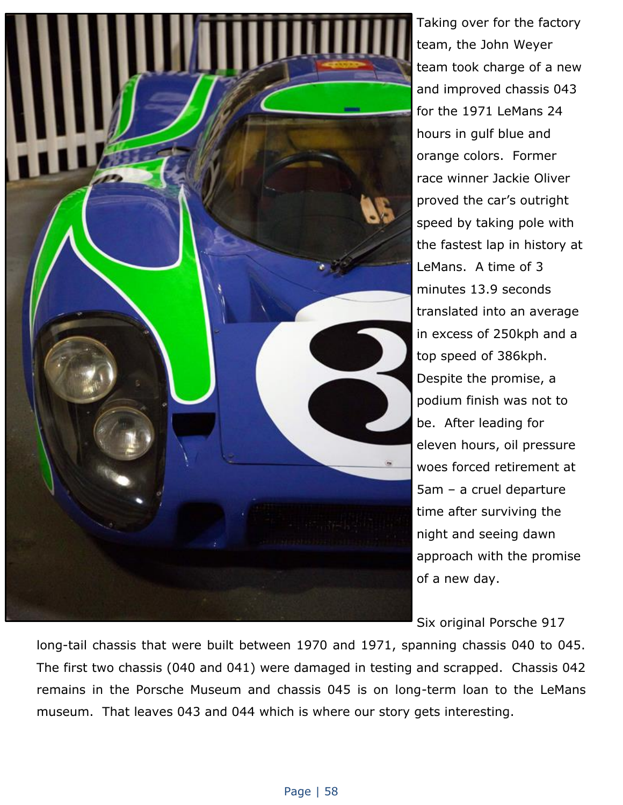

Taking over for the factory team, the John Weyer team took charge of a new and improved chassis 043 for the 1971 LeMans 24 hours in gulf blue and orange colors. Former race winner Jackie Oliver proved the car's outright speed by taking pole with the fastest lap in history at LeMans. A time of 3 minutes 13.9 seconds translated into an average in excess of 250kph and a top speed of 386kph. Despite the promise, a podium finish was not to be. After leading for eleven hours, oil pressure woes forced retirement at 5am – a cruel departure time after surviving the night and seeing dawn approach with the promise of a new day.

Six original Porsche 917

long-tail chassis that were built between 1970 and 1971, spanning chassis 040 to 045. The first two chassis (040 and 041) were damaged in testing and scrapped. Chassis 042 remains in the Porsche Museum and chassis 045 is on long-term loan to the LeMans museum. That leaves 043 and 044 which is where our story gets interesting.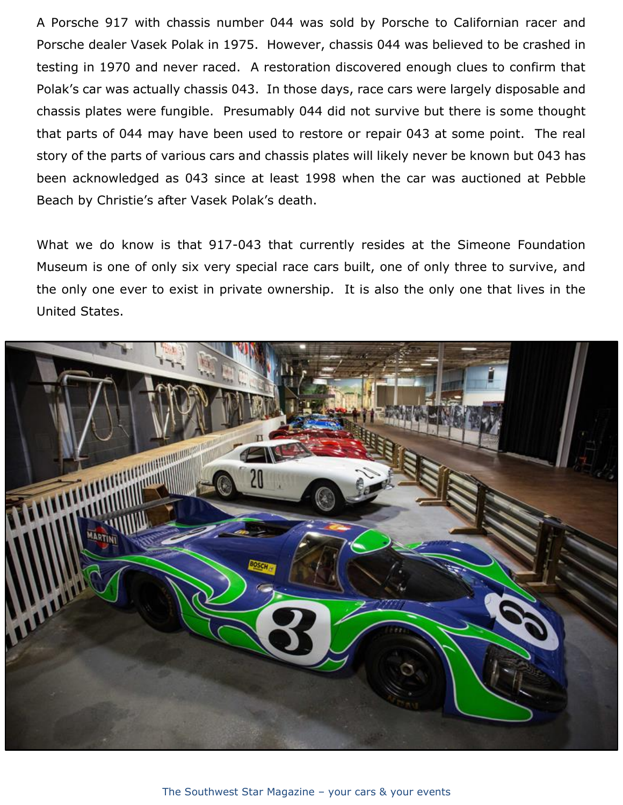A Porsche 917 with chassis number 044 was sold by Porsche to Californian racer and Porsche dealer Vasek Polak in 1975. However, chassis 044 was believed to be crashed in testing in 1970 and never raced. A restoration discovered enough clues to confirm that Polak's car was actually chassis 043. In those days, race cars were largely disposable and chassis plates were fungible. Presumably 044 did not survive but there is some thought that parts of 044 may have been used to restore or repair 043 at some point. The real story of the parts of various cars and chassis plates will likely never be known but 043 has been acknowledged as 043 since at least 1998 when the car was auctioned at Pebble Beach by Christie's after Vasek Polak's death.

What we do know is that 917-043 that currently resides at the Simeone Foundation Museum is one of only six very special race cars built, one of only three to survive, and the only one ever to exist in private ownership. It is also the only one that lives in the United States.